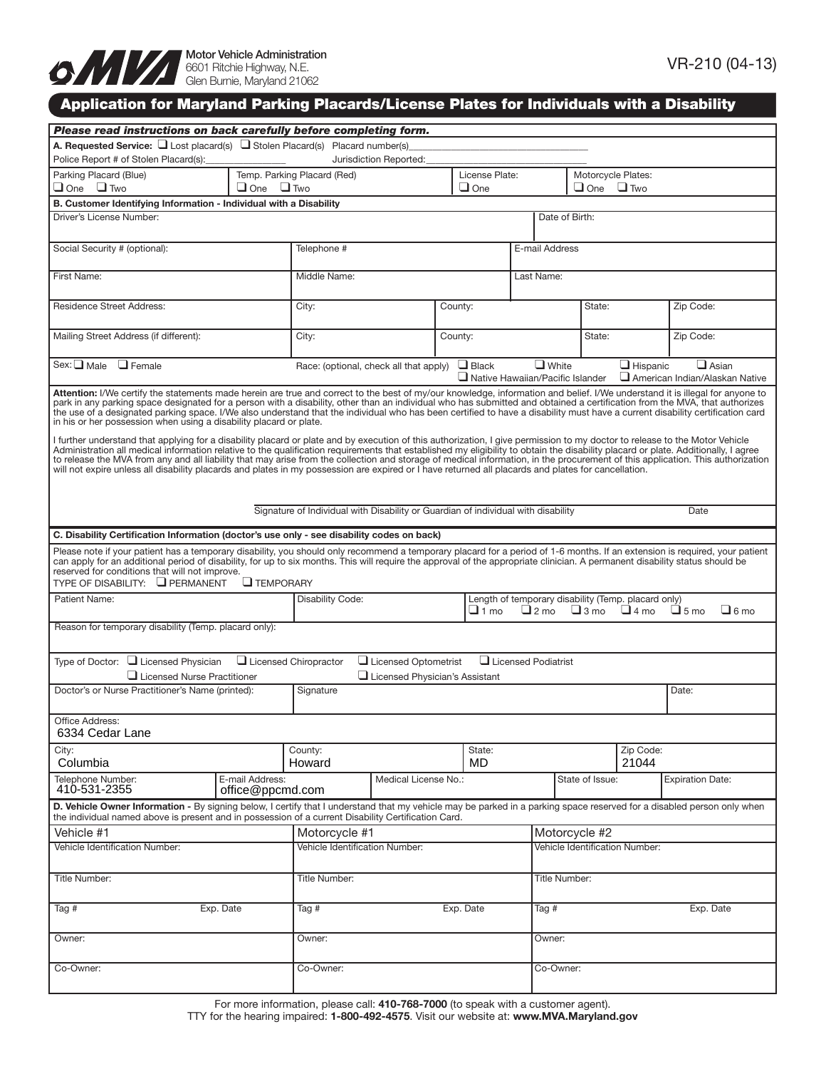

# Application for Maryland Parking Placards/License Plates for Individuals with a Disability

| Please read instructions on back carefully before completing form.                                                                                                                                                                                                                                                                                                                                                                                                                                                                                                                                                                                                                                          |                                           |                                                                                                                   |                     |           |                                  |                    |                                                |  |  |
|-------------------------------------------------------------------------------------------------------------------------------------------------------------------------------------------------------------------------------------------------------------------------------------------------------------------------------------------------------------------------------------------------------------------------------------------------------------------------------------------------------------------------------------------------------------------------------------------------------------------------------------------------------------------------------------------------------------|-------------------------------------------|-------------------------------------------------------------------------------------------------------------------|---------------------|-----------|----------------------------------|--------------------|------------------------------------------------|--|--|
| <b>A. Requested Service:</b> $\Box$ Lost placard(s) $\Box$ Stolen Placard(s) Placard number(s)                                                                                                                                                                                                                                                                                                                                                                                                                                                                                                                                                                                                              |                                           |                                                                                                                   |                     |           |                                  |                    |                                                |  |  |
| Police Report # of Stolen Placard(s):                                                                                                                                                                                                                                                                                                                                                                                                                                                                                                                                                                                                                                                                       | Jurisdiction Reported:                    |                                                                                                                   |                     |           |                                  |                    |                                                |  |  |
| Parking Placard (Blue)<br>$\Box$ One<br>$\Box$ One $\Box$ Two                                                                                                                                                                                                                                                                                                                                                                                                                                                                                                                                                                                                                                               | Temp. Parking Placard (Red)<br>$\Box$ Two | License Plate:<br>$\Box$ One                                                                                      |                     |           | Motorcycle Plates:<br>$\Box$ One | $\Box$ Two         |                                                |  |  |
| B. Customer Identifying Information - Individual with a Disability                                                                                                                                                                                                                                                                                                                                                                                                                                                                                                                                                                                                                                          |                                           |                                                                                                                   |                     |           |                                  |                    |                                                |  |  |
| Driver's License Number:                                                                                                                                                                                                                                                                                                                                                                                                                                                                                                                                                                                                                                                                                    |                                           |                                                                                                                   |                     |           | Date of Birth:                   |                    |                                                |  |  |
| Social Security # (optional):                                                                                                                                                                                                                                                                                                                                                                                                                                                                                                                                                                                                                                                                               | Telephone #                               |                                                                                                                   |                     |           | E-mail Address                   |                    |                                                |  |  |
| First Name:                                                                                                                                                                                                                                                                                                                                                                                                                                                                                                                                                                                                                                                                                                 | Middle Name:                              |                                                                                                                   |                     |           | Last Name:                       |                    |                                                |  |  |
| <b>Residence Street Address:</b>                                                                                                                                                                                                                                                                                                                                                                                                                                                                                                                                                                                                                                                                            | City:                                     | County:                                                                                                           |                     |           | State:                           |                    | Zip Code:                                      |  |  |
| Mailing Street Address (if different):                                                                                                                                                                                                                                                                                                                                                                                                                                                                                                                                                                                                                                                                      | City:                                     | County:                                                                                                           |                     |           | State:                           |                    | Zip Code:                                      |  |  |
| $Sex: \square Male$<br>$\Box$ Female                                                                                                                                                                                                                                                                                                                                                                                                                                                                                                                                                                                                                                                                        |                                           | $\Box$ White<br>$\Box$ Black<br>Race: (optional, check all that apply)<br>$\Box$ Native Hawaiian/Pacific Islander |                     |           |                                  | $\Box$ Hispanic    | $\Box$ Asian<br>American Indian/Alaskan Native |  |  |
| Attention: I/We certify the statements made herein are true and correct to the best of my/our knowledge, information and belief. I/We understand it is illegal for anyone to<br>park in any parking space designated for a person with a disability, other than an individual who has submitted and obtained a certification from the MVA, that authorizes<br>the use of a designated parking space. I/We also understand that the individual who has been certified to have a disability must have a current disability certification card<br>in his or her possession when using a disability placard or plate.                                                                                           |                                           |                                                                                                                   |                     |           |                                  |                    |                                                |  |  |
| I further understand that applying for a disability placard or plate and by execution of this authorization, I give permission to my doctor to release to the Motor Vehicle<br>Administration all medical information relative to the qualification requirements that established my eligibility to obtain the disability placard or plate. Additionally, I agree<br>to release the MVA from any and all liability that may arise from the collection and storage of medical information, in the procurement of this application. This authorization<br>will not expire unless all disability placards and plates in my possession are expired or I have returned all placards and plates for cancellation. |                                           |                                                                                                                   |                     |           |                                  |                    |                                                |  |  |
| Signature of Individual with Disability or Guardian of individual with disability<br>Date                                                                                                                                                                                                                                                                                                                                                                                                                                                                                                                                                                                                                   |                                           |                                                                                                                   |                     |           |                                  |                    |                                                |  |  |
| C. Disability Certification Information (doctor's use only - see disability codes on back)                                                                                                                                                                                                                                                                                                                                                                                                                                                                                                                                                                                                                  |                                           |                                                                                                                   |                     |           |                                  |                    |                                                |  |  |
| Please note if your patient has a temporary disability, you should only recommend a temporary placard for a period of 1-6 months. If an extension is required, your patient<br>can apply for an additional period of disability, for up to six months. This will require the approval of the appropriate clinician. A permanent disability status should be<br>reserved for conditions that will not improve.<br>TYPE OF DISABILITY: $\Box$ PERMANENT<br>$\Box$ TEMPORARY                                                                                                                                                                                                                                   |                                           |                                                                                                                   |                     |           |                                  |                    |                                                |  |  |
| Patient Name:                                                                                                                                                                                                                                                                                                                                                                                                                                                                                                                                                                                                                                                                                               | Disability Code:                          | Length of temporary disability (Temp. placard only)<br>$\Box$ 2 mo<br>$\Box$ 1 mo                                 |                     |           | $\Box$ 3 mo                      | $\Box$ 4 mo        | $\Box$ 6 mo<br>$\Box$ 5 mo                     |  |  |
| Reason for temporary disability (Temp. placard only):                                                                                                                                                                                                                                                                                                                                                                                                                                                                                                                                                                                                                                                       |                                           |                                                                                                                   |                     |           |                                  |                    |                                                |  |  |
| $\Box$ Licensed Chiropractor<br>Type of Doctor: □ Licensed Physician<br>Licensed Optometrist<br>Licensed Podiatrist                                                                                                                                                                                                                                                                                                                                                                                                                                                                                                                                                                                         |                                           |                                                                                                                   |                     |           |                                  |                    |                                                |  |  |
| $\Box$ Licensed Physician's Assistant<br>Licensed Nurse Practitioner<br>Doctor's or Nurse Practitioner's Name (printed):<br>Signature                                                                                                                                                                                                                                                                                                                                                                                                                                                                                                                                                                       |                                           |                                                                                                                   |                     |           |                                  | Date:              |                                                |  |  |
|                                                                                                                                                                                                                                                                                                                                                                                                                                                                                                                                                                                                                                                                                                             |                                           |                                                                                                                   |                     |           |                                  |                    |                                                |  |  |
| Office Address:<br>6334 Cedar Lane                                                                                                                                                                                                                                                                                                                                                                                                                                                                                                                                                                                                                                                                          |                                           |                                                                                                                   |                     |           |                                  |                    |                                                |  |  |
| City:<br>Columbia                                                                                                                                                                                                                                                                                                                                                                                                                                                                                                                                                                                                                                                                                           | County:<br>Howard                         |                                                                                                                   | State:<br><b>MD</b> |           |                                  | Zip Code:<br>21044 |                                                |  |  |
| Telephone Number:<br>E-mail Address:<br>410-531-2355<br>office@ppcmd.com                                                                                                                                                                                                                                                                                                                                                                                                                                                                                                                                                                                                                                    |                                           | Medical License No.:                                                                                              |                     |           | State of Issue:                  |                    | <b>Expiration Date:</b>                        |  |  |
| D. Vehicle Owner Information - By signing below, I certify that I understand that my vehicle may be parked in a parking space reserved for a disabled person only when<br>the individual named above is present and in possession of a current Disability Certification Card.                                                                                                                                                                                                                                                                                                                                                                                                                               |                                           |                                                                                                                   |                     |           |                                  |                    |                                                |  |  |
| Vehicle #1                                                                                                                                                                                                                                                                                                                                                                                                                                                                                                                                                                                                                                                                                                  | Motorcycle #1                             |                                                                                                                   |                     |           | Motorcycle #2                    |                    |                                                |  |  |
| Vehicle Identification Number:                                                                                                                                                                                                                                                                                                                                                                                                                                                                                                                                                                                                                                                                              | Vehicle Identification Number:            |                                                                                                                   |                     |           | Vehicle Identification Number:   |                    |                                                |  |  |
| Title Number:                                                                                                                                                                                                                                                                                                                                                                                                                                                                                                                                                                                                                                                                                               | Title Number:                             |                                                                                                                   |                     |           | <b>Title Number:</b>             |                    |                                                |  |  |
| Exp. Date<br>Tag #                                                                                                                                                                                                                                                                                                                                                                                                                                                                                                                                                                                                                                                                                          | Tag #                                     | Exp. Date                                                                                                         |                     |           | Tag #<br>Exp. Date               |                    |                                                |  |  |
| Owner:                                                                                                                                                                                                                                                                                                                                                                                                                                                                                                                                                                                                                                                                                                      | Owner:                                    |                                                                                                                   |                     | Owner:    |                                  |                    |                                                |  |  |
| Co-Owner:                                                                                                                                                                                                                                                                                                                                                                                                                                                                                                                                                                                                                                                                                                   | Co-Owner:                                 |                                                                                                                   |                     | Co-Owner: |                                  |                    |                                                |  |  |